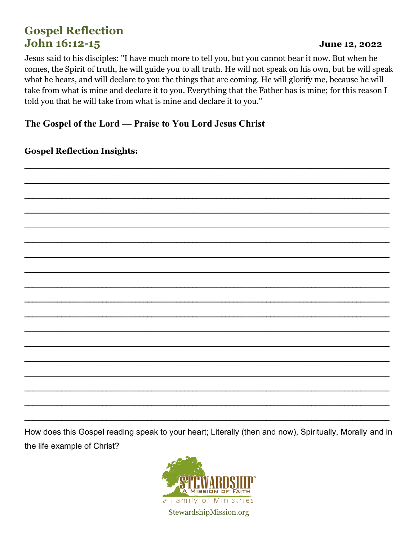# **Gospel Reflection** John 16:12-15

### June 12, 2022

Jesus said to his disciples: "I have much more to tell you, but you cannot bear it now. But when he comes, the Spirit of truth, he will guide you to all truth. He will not speak on his own, but he will speak what he hears, and will declare to you the things that are coming. He will glorify me, because he will take from what is mine and declare it to you. Everything that the Father has is mine; for this reason I told you that he will take from what is mine and declare it to you."

### The Gospel of the Lord — Praise to You Lord Jesus Christ

**Gospel Reflection Insights:** 

How does this Gospel reading speak to your heart; Literally (then and now), Spiritually, Morally and in the life example of Christ?